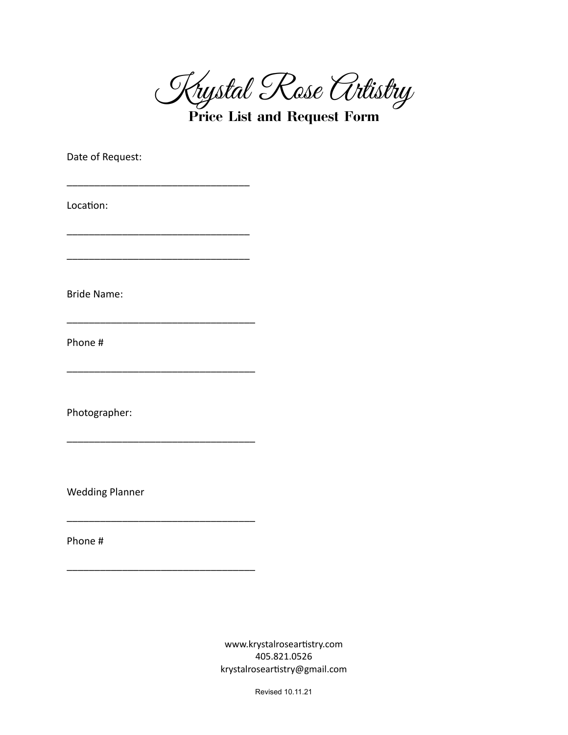Krystal Rose Artistry

**Price List and Request Form**

Date of Request:

\_\_\_\_\_\_\_\_\_\_\_\_\_\_\_\_\_\_\_\_\_\_\_\_\_\_\_\_\_\_\_\_\_

\_\_\_\_\_\_\_\_\_\_\_\_\_\_\_\_\_\_\_\_\_\_\_\_\_\_\_\_\_\_\_\_\_

\_\_\_\_\_\_\_\_\_\_\_\_\_\_\_\_\_\_\_\_\_\_\_\_\_\_\_\_\_\_\_\_\_

\_\_\_\_\_\_\_\_\_\_\_\_\_\_\_\_\_\_\_\_\_\_\_\_\_\_\_\_\_\_\_\_\_\_

\_\_\_\_\_\_\_\_\_\_\_\_\_\_\_\_\_\_\_\_\_\_\_\_\_\_\_\_\_\_\_\_\_\_

\_\_\_\_\_\_\_\_\_\_\_\_\_\_\_\_\_\_\_\_\_\_\_\_\_\_\_\_\_\_\_\_\_\_

\_\_\_\_\_\_\_\_\_\_\_\_\_\_\_\_\_\_\_\_\_\_\_\_\_\_\_\_\_\_\_\_\_\_

\_\_\_\_\_\_\_\_\_\_\_\_\_\_\_\_\_\_\_\_\_\_\_\_\_\_\_\_\_\_\_\_\_\_

Location:

Bride Name:

Phone #

Photographer:

Wedding Planner

Phone #

www.krystalroseartistry.com 405.821.0526 krystalroseartistry@gmail.com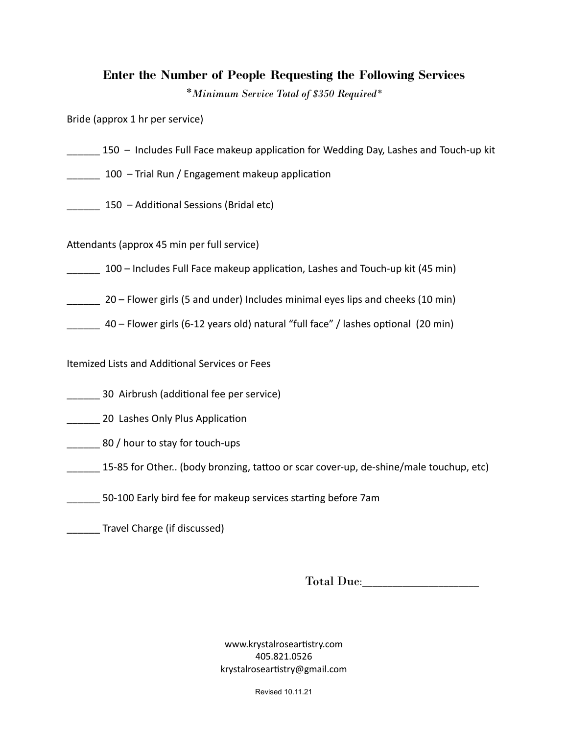## **Enter the Number of People Requesting the Following Services**

*\*Minimum Service Total of \$350 Required\**

Bride (approx 1 hr per service)

- 150 Includes Full Face makeup application for Wedding Day, Lashes and Touch-up kit
- $100$  Trial Run / Engagement makeup application

150 – Additional Sessions (Bridal etc)

Attendants (approx 45 min per full service)

100 – Includes Full Face makeup application, Lashes and Touch-up kit (45 min)

20 – Flower girls (5 and under) Includes minimal eyes lips and cheeks (10 min)

 $\frac{1}{2}$  40 – Flower girls (6-12 years old) natural "full face" / lashes optional (20 min)

Itemized Lists and Additional Services or Fees

- 30 Airbrush (additional fee per service)
- 20 Lashes Only Plus Application
- \_\_\_\_\_\_ 80 / hour to stay for touch-ups
- 15-85 for Other.. (body bronzing, tattoo or scar cover-up, de-shine/male touchup, etc)
- 50-100 Early bird fee for makeup services starting before 7am

\_\_\_\_\_\_ Travel Charge (if discussed)

Total Due:

www.krystalroseartistry.com 405.821.0526 krystalroseartistry@gmail.com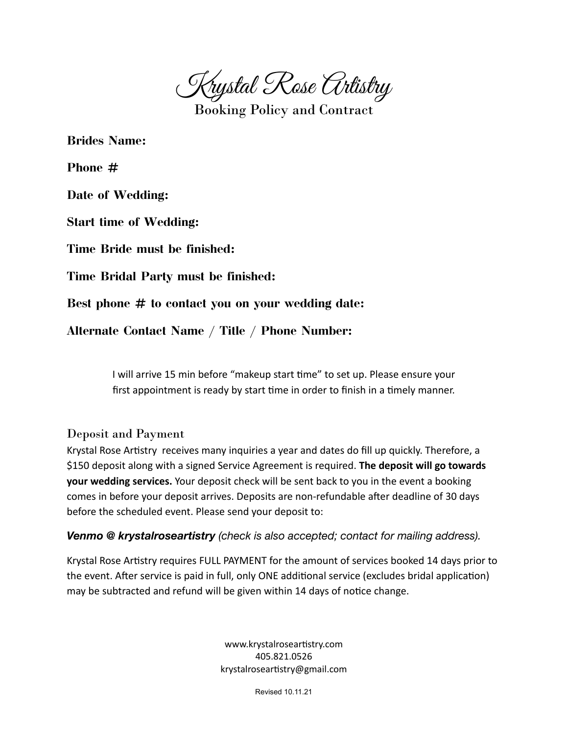Krystal Rose Artistry

Booking Policy and Contract

**Brides Name:**

**Phone #**

**Date of Wedding:**

**Start time of Wedding:**

**Time Bride must be finished:**

**Time Bridal Party must be finished:**

**Best phone # to contact you on your wedding date:**

**Alternate Contact Name / Title / Phone Number:**

I will arrive 15 min before "makeup start time" to set up. Please ensure your first appointment is ready by start time in order to finish in a timely manner.

#### Deposit and Payment

Krystal Rose Artistry receives many inquiries a year and dates do fill up quickly. Therefore, a \$150 deposit along with a signed Service Agreement is required. **The deposit will go towards your wedding services.** Your deposit check will be sent back to you in the event a booking comes in before your deposit arrives. Deposits are non-refundable after deadline of 30 days before the scheduled event. Please send your deposit to:

*Venmo @ krystalroseartistry (check is also accepted; contact for mailing address).*

Krystal Rose Artistry requires FULL PAYMENT for the amount of services booked 14 days prior to the event. After service is paid in full, only ONE additional service (excludes bridal application) may be subtracted and refund will be given within 14 days of notice change.

> www.krystalroseartistry.com 405.821.0526 krystalroseartistry@gmail.com